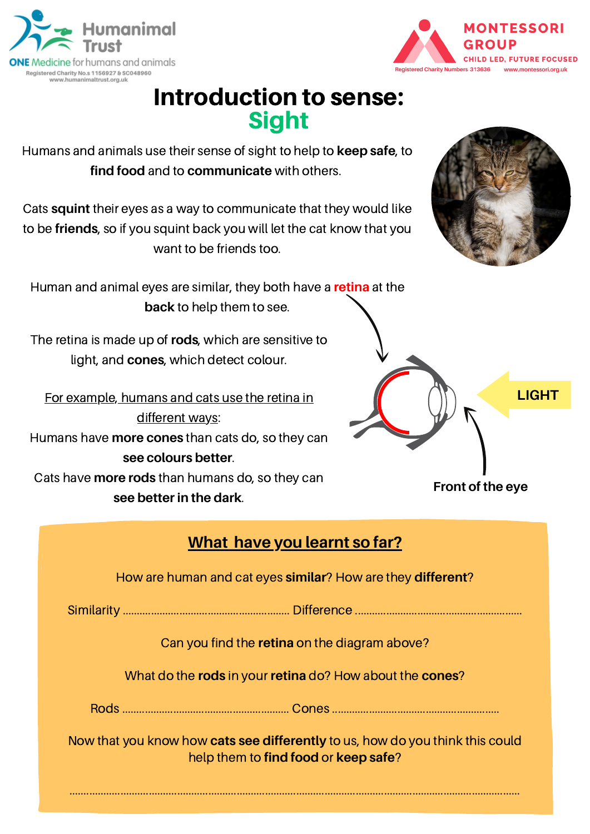**ONE** Medicine for humans and animals Registered Charity No.s 1156927 & SC048960 www.humanimaltrust.org.uk

nanimal

# Introduction to sense: Sight

Humans and animals use their sense of sight to help to **keep safe**, to **find food** and to **communicate** with others.

Cats **squint** their eyes as a way to communicate that they would like to be **friends**, so if you squint back you will let the cat know that you want to be friends too.

Human and animal eyes are similar, they both have a **retina** at the **back** to help them to see.

The retina is made up of **rods**, which are sensitive to light, and **cones**, which detect colour.

For example, humans and cats use the retina in different ways: Humans have **more cones** than cats do, so they can **see colours better**. Cats have **more rods** than humans do, so they can **see better in the dark**.

### **What have you learnt so far?**

How are human and cat eyes **similar**? How are they **different**?

Similarity ........................................................... Difference ...........................................................

Can you find the **retina** on the diagram above?

What do the **rods** in your **retina** do? How about the **cones**?

Rods ........................................................... Cones ...........................................................

Now that you know how **cats see differently** to us, how do you think this could help them to **find food** or **keep safe**?

...............................................................................................................................................................







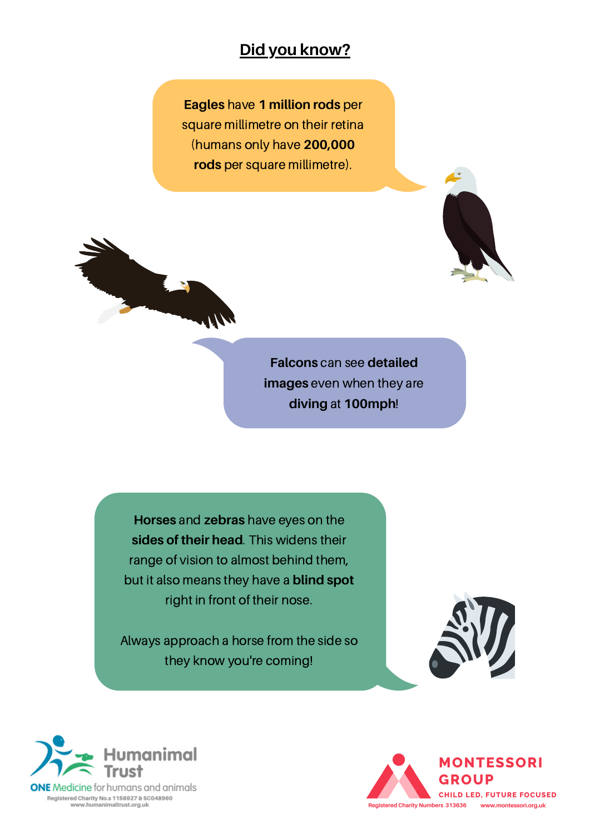#### **Did you know?**

**Eagles** have **1 million rods** per square millimetre on their retina (humans only have **200,000 rods** per square millimetre).





**Falcons** can see **detailed images** even when they are **diving** at **100mph**!

**Horses** and **zebras** have eyes on the **sides of their head**. This widens their range of vision to almost behind them, but it also means they have a **blind spot** right in front of their nose.

Always approach a horse from the side so they know you're coming!





Registered Charity No.s 1156927 & SC048960 www.humanimaltrust.org.uk

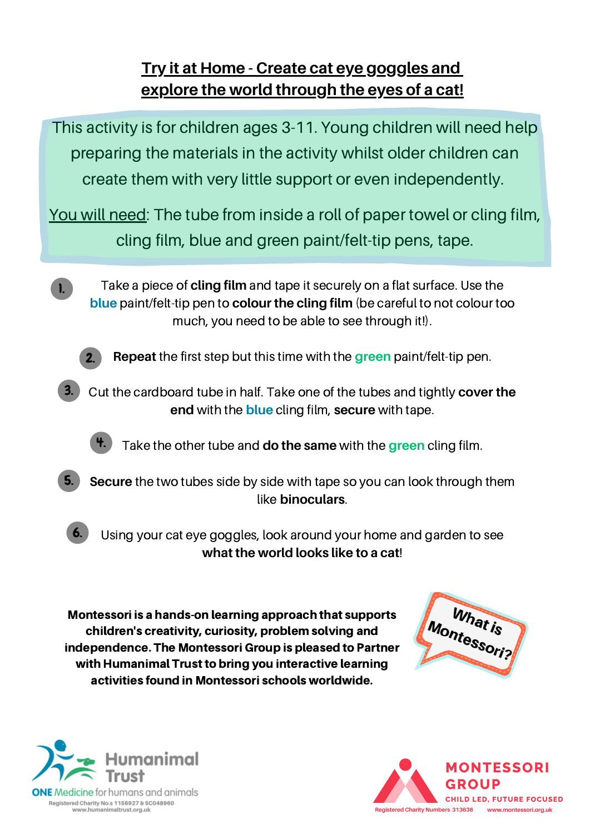## **Try it at Home - Create cat eye goggles and explore the world through the eyes of a cat!**



independence. The Montessori Group is pleased to Partner with Humanimal Trust to bring you interactive learning activities found in Montessori schools worldwide.





Registered Charity No.s 1156927 & SC048960 www.humanimaltrust.org.uk